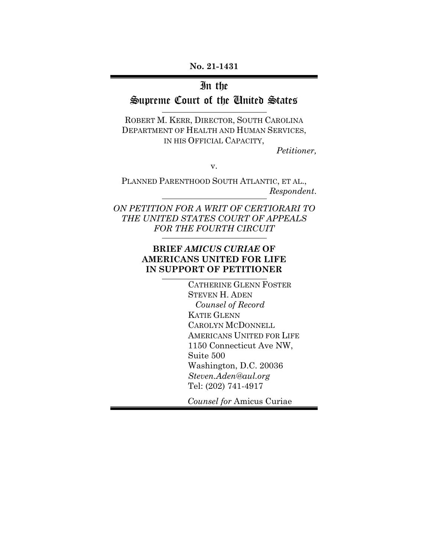**No. 21-1431**

# In the

# Supreme Court of the United States

ROBERT M. KERR, DIRECTOR, SOUTH CAROLINA DEPARTMENT OF HEALTH AND HUMAN SERVICES, IN HIS OFFICIAL CAPACITY,

*Petitioner,*

v.

PLANNED PARENTHOOD SOUTH ATLANTIC, ET AL., *Respondent*.

*ON PETITION FOR A WRIT OF CERTIORARI TO THE UNITED STATES COURT OF APPEALS FOR THE FOURTH CIRCUIT*

### **BRIEF** *AMICUS CURIAE* **OF AMERICANS UNITED FOR LIFE IN SUPPORT OF PETITIONER**

CATHERINE GLENN FOSTER STEVEN H. ADEN  *Counsel of Record* KATIE GLENN CAROLYN MCDONNELL AMERICANS UNITED FOR LIFE 1150 Connecticut Ave NW, Suite 500 Washington, D.C. 20036 *Steven.Aden@aul.org* Tel: (202) 741-4917

*Counsel for* Amicus Curiae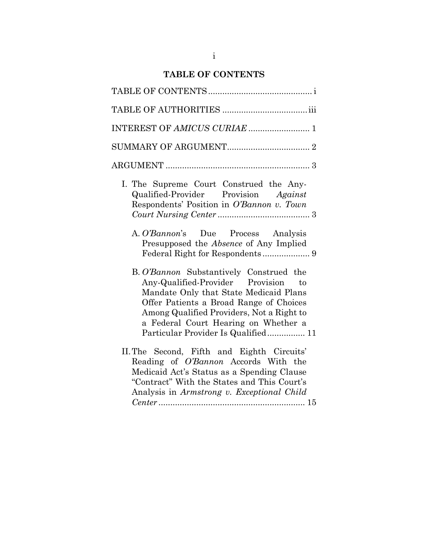# **TABLE OF CONTENTS**

<span id="page-1-0"></span>

| INTEREST OF AMICUS CURIAE  1                                                                                                                                                                                                                                                                    |
|-------------------------------------------------------------------------------------------------------------------------------------------------------------------------------------------------------------------------------------------------------------------------------------------------|
|                                                                                                                                                                                                                                                                                                 |
|                                                                                                                                                                                                                                                                                                 |
| I. The Supreme Court Construed the Any-<br>Qualified-Provider Provision Against<br>Respondents' Position in O'Bannon v. Town<br>A. O'Bannon's Due Process Analysis<br>Presupposed the Absence of Any Implied                                                                                    |
| B. O'Bannon Substantively Construed the<br>Any-Qualified-Provider Provision to<br>Mandate Only that State Medicaid Plans<br>Offer Patients a Broad Range of Choices<br>Among Qualified Providers, Not a Right to<br>a Federal Court Hearing on Whether a<br>Particular Provider Is Qualified 11 |
| II. The Second, Fifth and Eighth Circuits'<br>Reading of O'Bannon Accords With the<br>Medicaid Act's Status as a Spending Clause<br>"Contract" With the States and This Court's<br>Analysis in Armstrong v. Exceptional Child                                                                   |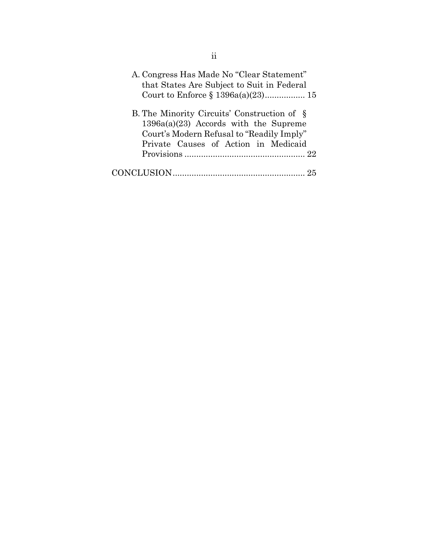| A. Congress Has Made No "Clear Statement"<br>that States Are Subject to Suit in Federal                                             |
|-------------------------------------------------------------------------------------------------------------------------------------|
| B. The Minority Circuits' Construction of §<br>$1396a(a)(23)$ Accords with the Supreme<br>Court's Modern Refusal to "Readily Imply" |
| Private Causes of Action in Medicaid                                                                                                |
|                                                                                                                                     |
|                                                                                                                                     |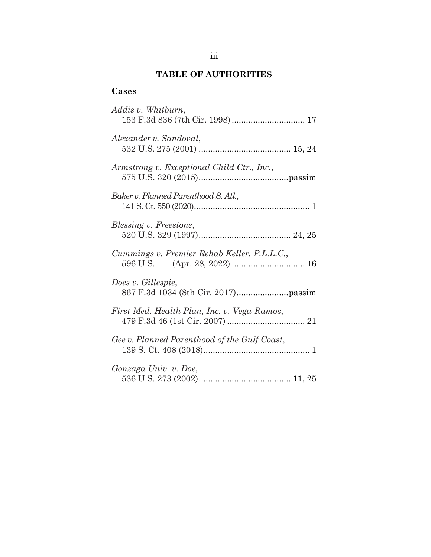# **TABLE OF AUTHORITIES**

### <span id="page-3-0"></span>**Cases**

| Addis v. Whitburn,<br>153 F.3d 836 (7th Cir. 1998)  17 |
|--------------------------------------------------------|
| Alexander v. Sandoval,                                 |
| Armstrong v. Exceptional Child Ctr., Inc.,             |
| Baker v. Planned Parenthood S. Atl.,                   |
| Blessing v. Freestone,                                 |
| Cummings v. Premier Rehab Keller, P.L.L.C.,            |
| Does v. Gillespie,                                     |
| First Med. Health Plan, Inc. v. Vega-Ramos,            |
| Gee v. Planned Parenthood of the Gulf Coast,           |
| Gonzaga Univ. v. Doe,                                  |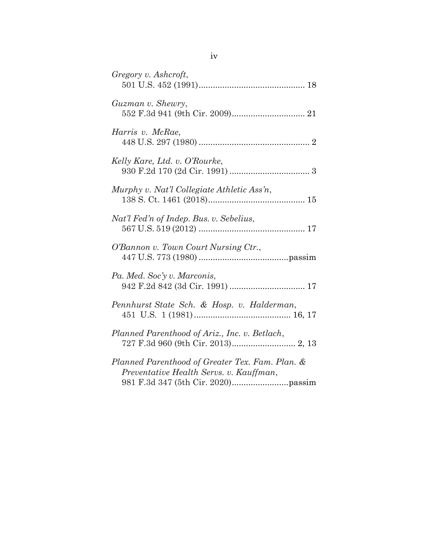| Gregory v. Ashcroft,                                                                       |
|--------------------------------------------------------------------------------------------|
| Guzman v. Shewry,                                                                          |
| Harris v. McRae,                                                                           |
| Kelly Kare, Ltd. v. O'Rourke,                                                              |
| Murphy v. Nat'l Collegiate Athletic Ass'n,                                                 |
| Nat'l Fed'n of Indep. Bus. v. Sebelius,                                                    |
| O'Bannon v. Town Court Nursing Ctr.,                                                       |
| Pa. Med. Soc'y v. Marconis,                                                                |
| Pennhurst State Sch. & Hosp. v. Halderman,                                                 |
| Planned Parenthood of Ariz., Inc. v. Betlach,                                              |
| Planned Parenthood of Greater Tex. Fam. Plan. &<br>Preventative Health Servs. v. Kauffman, |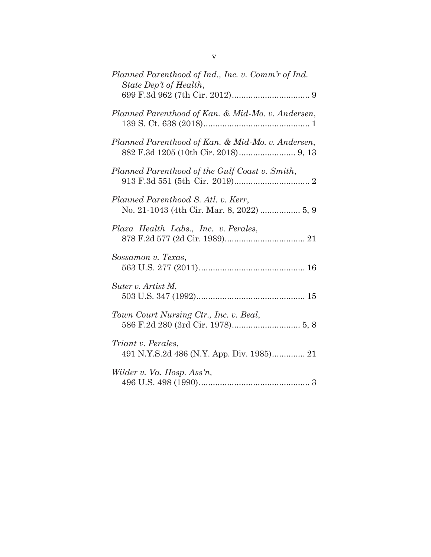| Planned Parenthood of Ind., Inc. v. Comm'r of Ind.<br>State Dep't of Health,     |
|----------------------------------------------------------------------------------|
| Planned Parenthood of Kan. & Mid-Mo. v. Andersen,                                |
| Planned Parenthood of Kan. & Mid-Mo. v. Andersen,                                |
| Planned Parenthood of the Gulf Coast v. Smith,                                   |
| Planned Parenthood S. Atl. v. Kerr,<br>No. 21-1043 (4th Cir. Mar. 8, 2022)  5, 9 |
| Plaza Health Labs., Inc. v. Perales,                                             |
| Sossamon v. Texas,                                                               |
| Suter v. Artist M,                                                               |
| Town Court Nursing Ctr., Inc. v. Beal,                                           |
| <i>Triant v. Perales,</i>                                                        |
| Wilder v. Va. Hosp. Ass'n,                                                       |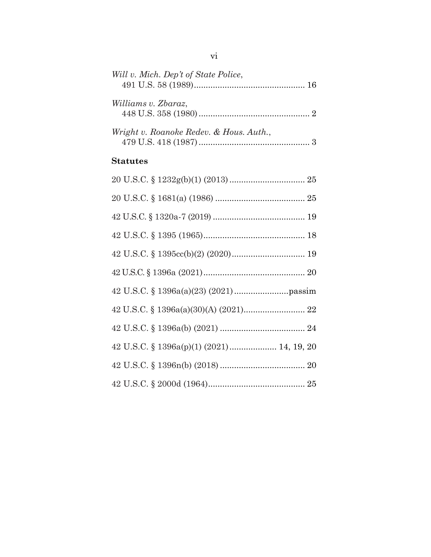| Will v. Mich. Dep't of State Police,      |  |
|-------------------------------------------|--|
| Williams v. Zbaraz,                       |  |
| Wright v. Roanoke Redev. & Hous. Auth.,   |  |
| <b>Statutes</b>                           |  |
|                                           |  |
|                                           |  |
|                                           |  |
|                                           |  |
|                                           |  |
|                                           |  |
|                                           |  |
|                                           |  |
|                                           |  |
| 42 U.S.C. § 1396a(p)(1) (2021) 14, 19, 20 |  |
|                                           |  |
|                                           |  |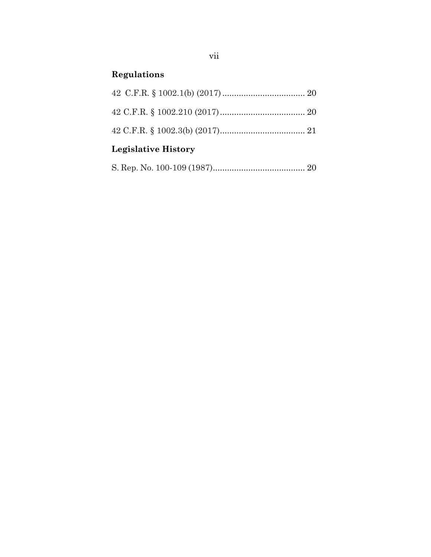# **Regulations**

| <b>Legislative History</b> |  |
|----------------------------|--|
|                            |  |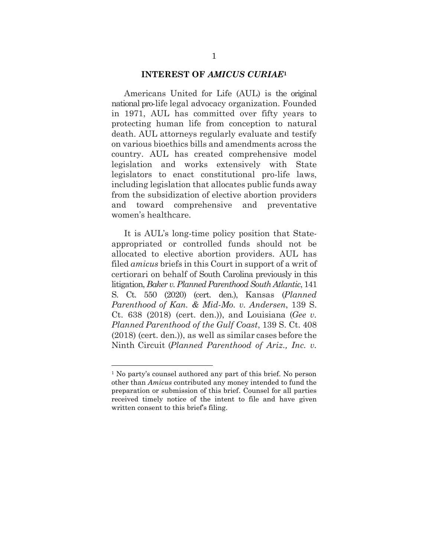#### **INTEREST OF** *AMICUS CURIAE***<sup>1</sup>**

<span id="page-8-0"></span>Americans United for Life (AUL) is the original national pro-life legal advocacy organization. Founded in 1971, AUL has committed over fifty years to protecting human life from conception to natural death. AUL attorneys regularly evaluate and testify on various bioethics bills and amendments across the country. AUL has created comprehensive model legislation and works extensively with State legislators to enact constitutional pro-life laws, including legislation that allocates public funds away from the subsidization of elective abortion providers and toward comprehensive and preventative women's healthcare.

It is AUL's long-time policy position that Stateappropriated or controlled funds should not be allocated to elective abortion providers. AUL has filed *amicus* briefs in this Court in support of a writ of certiorari on behalf of South Carolina previously in this litigation, *Baker v. Planned ParenthoodSouth Atlantic*, 141 S. Ct. 550 (2020) (cert. den.), Kansas (*Planned Parenthood of Kan. & Mid-Mo. v. Andersen*, 139 S. Ct. 638 (2018) (cert. den.)), and Louisiana (*Gee v. Planned Parenthood of the Gulf Coast*, 139 S. Ct. 408 (2018) (cert. den.)), as well as similar cases before the Ninth Circuit (*Planned Parenthood of Ariz., Inc. v.* 

<sup>1</sup> No party's counsel authored any part of this brief. No person other than *Amicus* contributed any money intended to fund the preparation or submission of this brief. Counsel for all parties received timely notice of the intent to file and have given written consent to this brief's filing.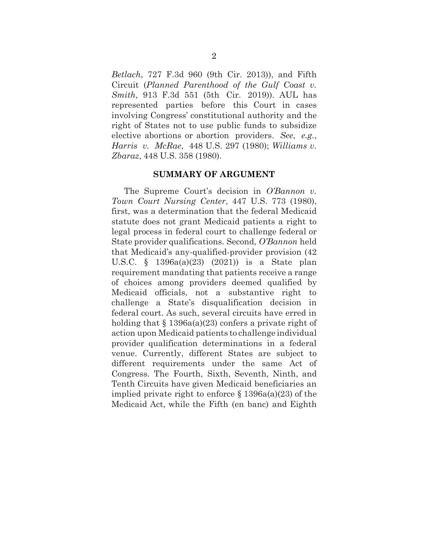*Betlach*, 727 F.3d 960 (9th Cir. 2013)), and Fifth Circuit (*Planned Parenthood of the Gulf Coast v. Smith*, 913 F.3d 551 (5th Cir. 2019)). AUL has represented parties before this Court in cases involving Congress' constitutional authority and the right of States not to use public funds to subsidize elective abortions or abortion providers. *See*, *e.g.*, *Harris v. McRae*, 448 U.S. 297 (1980); *Williams v. Zbaraz*, 448 U.S. 358 (1980).

#### **SUMMARY OF ARGUMENT**

<span id="page-9-0"></span>The Supreme Court's decision in *O'Bannon v. Town Court Nursing Center*, 447 U.S. 773 (1980), first, was a determination that the federal Medicaid statute does not grant Medicaid patients a right to legal process in federal court to challenge federal or State provider qualifications. Second, *O'Bannon* held that Medicaid's any-qualified-provider provision (42 U.S.C. § 1396a(a)(23) (2021)) is a State plan requirement mandating that patients receive a range of choices among providers deemed qualified by Medicaid officials, not a substantive right to challenge a State's disqualification decision in federal court. As such, several circuits have erred in holding that  $\S 1396a(a)(23)$  confers a private right of action upon Medicaid patients to challenge individual provider qualification determinations in a federal venue. Currently, different States are subject to different requirements under the same Act of Congress. The Fourth, Sixth, Seventh, Ninth, and Tenth Circuits have given Medicaid beneficiaries an implied private right to enforce § 1396a(a)(23) of the Medicaid Act, while the Fifth (en banc) and Eighth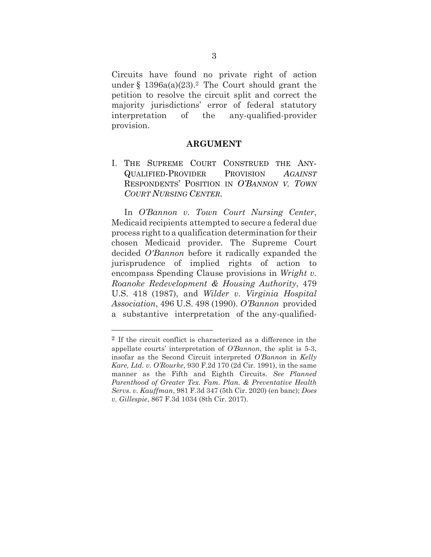Circuits have found no private right of action under  $\S$  1396a(a)(23).<sup>2</sup> The Court should grant the petition to resolve the circuit split and correct the majority jurisdictions' error of federal statutory interpretation of the any-qualified-provider provision.

#### **ARGUMENT**

<span id="page-10-1"></span><span id="page-10-0"></span>I. THE SUPREME COURT CONSTRUED THE ANY-QUALIFIED-PROVIDER PROVISION *AGAINST* RESPONDENTS' POSITION IN *O'BANNON V. TOWN COURT NURSING CENTER*.

In *O'Bannon v. Town Court Nursing Center*, Medicaid recipients attempted to secure a federal due process right to a qualification determination for their chosen Medicaid provider. The Supreme Court decided *O'Bannon* before it radically expanded the jurisprudence of implied rights of action to encompass Spending Clause provisions in *Wright v. Roanoke Redevelopment & Housing Authority*, 479 U.S. 418 (1987), and *Wilder v. Virginia Hospital Association*, 496 U.S. 498 (1990). *O'Bannon* provided a substantive interpretation of the any-qualified-

<sup>2</sup> If the circuit conflict is characterized as a difference in the appellate courts' interpretation of *O'Bannon*, the split is 5-3, insofar as the Second Circuit interpreted *O'Bannon* in *Kelly Kare, Ltd. v. O'Rourke*, 930 F.2d 170 (2d Cir. 1991), in the same manner as the Fifth and Eighth Circuits. *See Planned Parenthood of Greater Tex. Fam. Plan. & Preventative Health Servs. v. Kauffman*, 981 F.3d 347 (5th Cir. 2020) (en banc); *Does v. Gillespie*, 867 F.3d 1034 (8th Cir. 2017).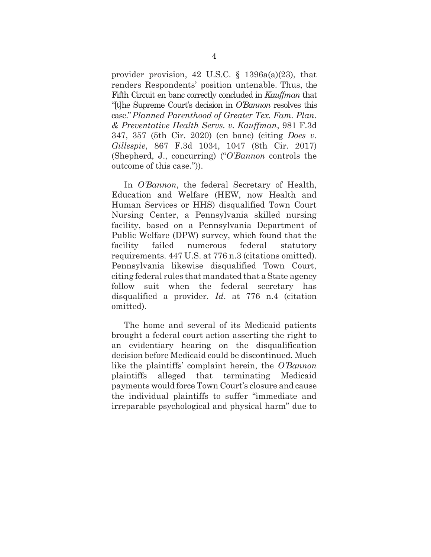provider provision, 42 U.S.C. § 1396a(a)(23), that renders Respondents' position untenable. Thus, the Fifth Circuit en banc correctly concluded in *Kauffman* that "[t]he Supreme Court's decision in *O'Bannon* resolves this case."*Planned Parenthood of Greater Tex. Fam. Plan. & Preventative Health Servs. v. Kauffman*, 981 F.3d 347, 357 (5th Cir. 2020) (en banc) (citing *Does v. Gillespie*, 867 F.3d 1034, 1047 (8th Cir. 2017) (Shepherd, J., concurring) ("*O'Bannon* controls the outcome of this case.")).

In *O'Bannon*, the federal Secretary of Health, Education and Welfare (HEW, now Health and Human Services or HHS) disqualified Town Court Nursing Center, a Pennsylvania skilled nursing facility, based on a Pennsylvania Department of Public Welfare (DPW) survey, which found that the facility failed numerous federal statutory requirements. 447 U.S. at 776 n.3 (citations omitted). Pennsylvania likewise disqualified Town Court, citing federal rules that mandated that a State agency follow suit when the federal secretary has disqualified a provider. *Id*. at 776 n.4 (citation omitted).

The home and several of its Medicaid patients brought a federal court action asserting the right to an evidentiary hearing on the disqualification decision before Medicaid could be discontinued. Much like the plaintiffs' complaint herein, the *O'Bannon*  plaintiffs alleged that terminating Medicaid payments would force Town Court's closure and cause the individual plaintiffs to suffer "immediate and irreparable psychological and physical harm" due to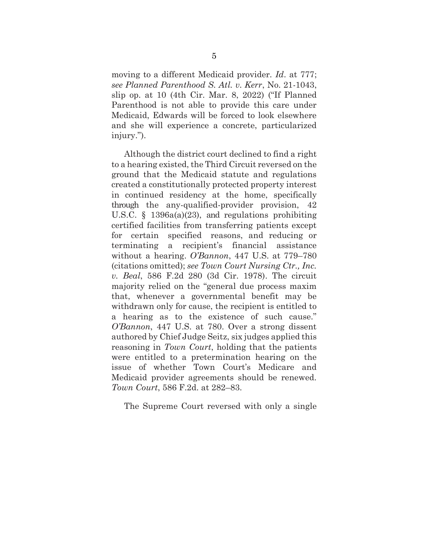moving to a different Medicaid provider. *Id*. at 777; *see Planned Parenthood S. Atl. v. Kerr*, No. 21-1043, slip op. at 10 (4th Cir. Mar. 8, 2022) ("If Planned Parenthood is not able to provide this care under Medicaid, Edwards will be forced to look elsewhere and she will experience a concrete, particularized injury.").

Although the district court declined to find a right to a hearing existed, the Third Circuit reversed on the ground that the Medicaid statute and regulations created a constitutionally protected property interest in continued residency at the home, specifically through the any-qualified-provider provision, 42 U.S.C. § 1396a(a)(23), and regulations prohibiting certified facilities from transferring patients except for certain specified reasons, and reducing or terminating a recipient's financial assistance without a hearing. *O'Bannon*, 447 U.S. at 779–780 (citations omitted); *see Town Court Nursing Ctr., Inc. v. Beal*, 586 F.2d 280 (3d Cir. 1978). The circuit majority relied on the "general due process maxim that, whenever a governmental benefit may be withdrawn only for cause, the recipient is entitled to a hearing as to the existence of such cause." *O'Bannon*, 447 U.S. at 780. Over a strong dissent authored by Chief Judge Seitz, six judges applied this reasoning in *Town Court*, holding that the patients were entitled to a pretermination hearing on the issue of whether Town Court's Medicare and Medicaid provider agreements should be renewed. *Town Court*, 586 F.2d. at 282–83.

The Supreme Court reversed with only a single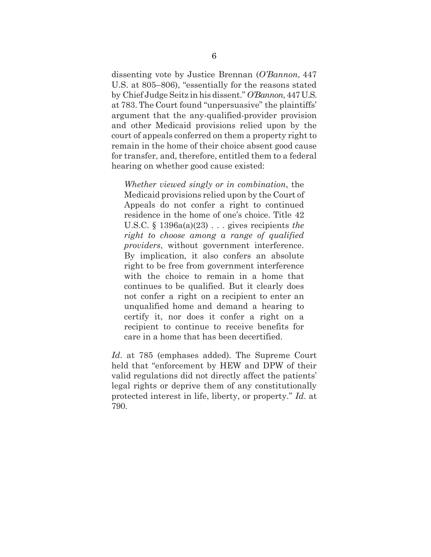dissenting vote by Justice Brennan (*O'Bannon*, 447 U.S. at 805–806), "essentially for the reasons stated by Chief Judge Seitz in his dissent." *O'Bannon*, 447 U.S. at 783. The Court found "unpersuasive" the plaintiffs' argument that the any-qualified-provider provision and other Medicaid provisions relied upon by the court of appeals conferred on them a property right to remain in the home of their choice absent good cause for transfer, and, therefore, entitled them to a federal hearing on whether good cause existed:

*Whether viewed singly or in combination*, the Medicaid provisions relied upon by the Court of Appeals do not confer a right to continued residence in the home of one's choice. Title 42 U.S.C. § 1396a(a)(23) . . . gives recipients *the right to choose among a range of qualified providers*, without government interference. By implication, it also confers an absolute right to be free from government interference with the choice to remain in a home that continues to be qualified. But it clearly does not confer a right on a recipient to enter an unqualified home and demand a hearing to certify it, nor does it confer a right on a recipient to continue to receive benefits for care in a home that has been decertified.

*Id*. at 785 (emphases added). The Supreme Court held that "enforcement by HEW and DPW of their valid regulations did not directly affect the patients' legal rights or deprive them of any constitutionally protected interest in life, liberty, or property." *Id*. at 790.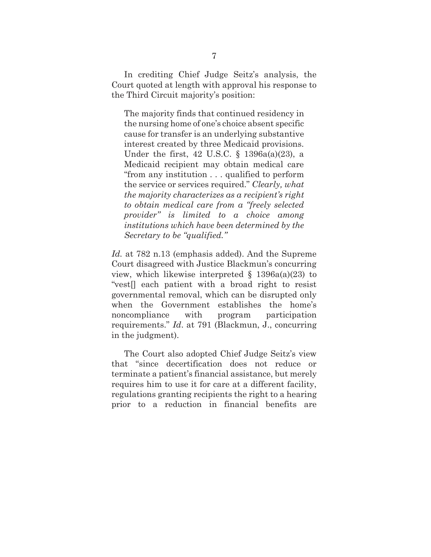In crediting Chief Judge Seitz's analysis, the Court quoted at length with approval his response to the Third Circuit majority's position:

The majority finds that continued residency in the nursing home of one's choice absent specific cause for transfer is an underlying substantive interest created by three Medicaid provisions. Under the first, 42 U.S.C. § 1396a(a)(23), a Medicaid recipient may obtain medical care "from any institution . . . qualified to perform the service or services required." *Clearly, what the majority characterizes as a recipient's right to obtain medical care from a "freely selected provider" is limited to a choice among institutions which have been determined by the Secretary to be "qualified."*

*Id.* at 782 n.13 (emphasis added). And the Supreme Court disagreed with Justice Blackmun's concurring view, which likewise interpreted  $\S$  1396a(a)(23) to "vest[] each patient with a broad right to resist governmental removal, which can be disrupted only when the Government establishes the home's noncompliance with program participation requirements." *Id*. at 791 (Blackmun, J., concurring in the judgment).

The Court also adopted Chief Judge Seitz's view that "since decertification does not reduce or terminate a patient's financial assistance, but merely requires him to use it for care at a different facility, regulations granting recipients the right to a hearing prior to a reduction in financial benefits are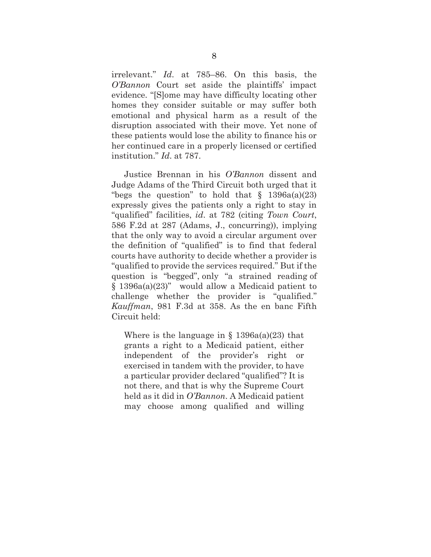irrelevant." *Id*. at 785–86. On this basis, the *O'Bannon* Court set aside the plaintiffs' impact evidence. "[S]ome may have difficulty locating other homes they consider suitable or may suffer both emotional and physical harm as a result of the disruption associated with their move. Yet none of these patients would lose the ability to finance his or her continued care in a properly licensed or certified institution." *Id*. at 787.

Justice Brennan in his *O'Bannon* dissent and Judge Adams of the Third Circuit both urged that it "begs the question" to hold that  $\S$  1396a(a)(23) expressly gives the patients only a right to stay in "qualified" facilities, *id*. at 782 (citing *Town Court*, 586 F.2d at 287 (Adams, J., concurring)), implying that the only way to avoid a circular argument over the definition of "qualified" is to find that federal courts have authority to decide whether a provider is "qualified to provide the services required." But if the question is "begged", only "a strained reading of § 1396a(a)(23)" would allow a Medicaid patient to challenge whether the provider is "qualified." *Kauffman*, 981 F.3d at 358. As the en banc Fifth Circuit held:

Where is the language in  $\S$  1396a(a)(23) that grants a right to a Medicaid patient, either independent of the provider's right or exercised in tandem with the provider, to have a particular provider declared "qualified"? It is not there, and that is why the Supreme Court held as it did in *O'Bannon*. A Medicaid patient may choose among qualified and willing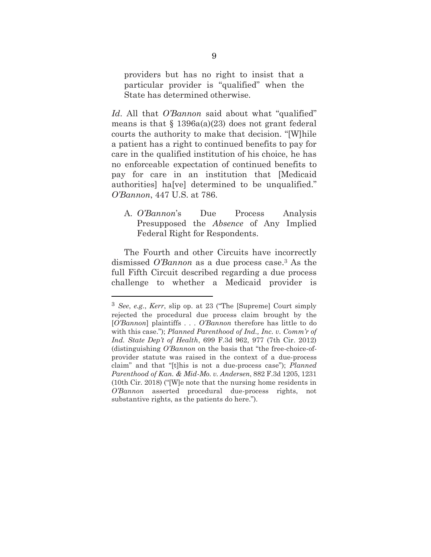providers but has no right to insist that a particular provider is "qualified" when the State has determined otherwise.

*Id*. All that *O'Bannon* said about what "qualified" means is that  $\S 1396a(a)(23)$  does not grant federal courts the authority to make that decision. "[W]hile a patient has a right to continued benefits to pay for care in the qualified institution of his choice, he has no enforceable expectation of continued benefits to pay for care in an institution that [Medicaid authorities] ha[ve] determined to be unqualified." *O'Bannon*, 447 U.S. at 786.

<span id="page-16-0"></span>A. *O'Bannon*'s Due Process Analysis Presupposed the *Absence* of Any Implied Federal Right for Respondents.

The Fourth and other Circuits have incorrectly dismissed *O'Bannon* as a due process case. <sup>3</sup> As the full Fifth Circuit described regarding a due process challenge to whether a Medicaid provider is

<sup>3</sup> *See*, *e.g.*, *Kerr*, slip op. at 23 ("The [Supreme] Court simply rejected the procedural due process claim brought by the [*O'Bannon*] plaintiffs . . . *O'Bannon* therefore has little to do with this case."); *Planned Parenthood of Ind., Inc. v. Comm'r of Ind. State Dep't of Health*, 699 F.3d 962, 977 (7th Cir. 2012) (distinguishing *O'Bannon* on the basis that "the free-choice-ofprovider statute was raised in the context of a due-process claim" and that "[t]his is not a due-process case"); *Planned Parenthood of Kan. & Mid-Mo. v. Andersen*, 882 F.3d 1205, 1231 (10th Cir. 2018) ("[W]e note that the nursing home residents in *O'Bannon* asserted procedural due-process rights, not substantive rights, as the patients do here.").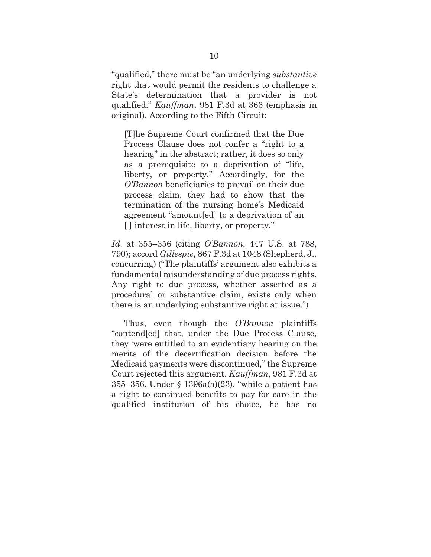"qualified," there must be "an underlying *substantive*  right that would permit the residents to challenge a State's determination that a provider is not qualified." *Kauffman*, 981 F.3d at 366 (emphasis in original). According to the Fifth Circuit:

[T]he Supreme Court confirmed that the Due Process Clause does not confer a "right to a hearing" in the abstract; rather, it does so only as a prerequisite to a deprivation of "life, liberty, or property." Accordingly, for the *O'Bannon* beneficiaries to prevail on their due process claim, they had to show that the termination of the nursing home's Medicaid agreement "amount[ed] to a deprivation of an [ ] interest in life, liberty, or property."

*Id*. at 355–356 (citing *O'Bannon*, 447 U.S. at 788, 790); accord *Gillespie*, 867 F.3d at 1048 (Shepherd, J., concurring) ("The plaintiffs' argument also exhibits a fundamental misunderstanding of due process rights. Any right to due process, whether asserted as a procedural or substantive claim, exists only when there is an underlying substantive right at issue.").

Thus, even though the *O'Bannon* plaintiffs "contend[ed] that, under the Due Process Clause, they 'were entitled to an evidentiary hearing on the merits of the decertification decision before the Medicaid payments were discontinued," the Supreme Court rejected this argument. *Kauffman*, 981 F.3d at 355–356. Under § 1396a(a)(23), "while a patient has a right to continued benefits to pay for care in the qualified institution of his choice, he has no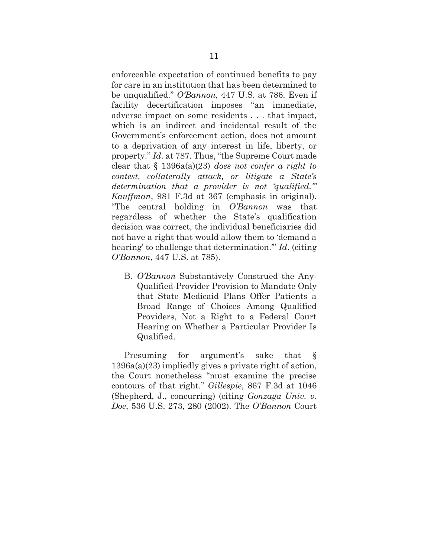enforceable expectation of continued benefits to pay for care in an institution that has been determined to be unqualified." *O'Bannon*, 447 U.S. at 786. Even if facility decertification imposes "an immediate, adverse impact on some residents . . . that impact, which is an indirect and incidental result of the Government's enforcement action, does not amount to a deprivation of any interest in life, liberty, or property." *Id*. at 787. Thus, "the Supreme Court made clear that § 1396a(a)(23) *does not confer a right to contest, collaterally attack, or litigate a State's determination that a provider is not 'qualified.'" Kauffman*, 981 F.3d at 367 (emphasis in original). "The central holding in *O'Bannon* was that regardless of whether the State's qualification decision was correct, the individual beneficiaries did not have a right that would allow them to 'demand a hearing' to challenge that determination.'" *Id*. (citing *O'Bannon*, 447 U.S. at 785).

<span id="page-18-0"></span>B. *O'Bannon* Substantively Construed the Any-Qualified-Provider Provision to Mandate Only that State Medicaid Plans Offer Patients a Broad Range of Choices Among Qualified Providers, Not a Right to a Federal Court Hearing on Whether a Particular Provider Is Qualified.

Presuming for argument's sake that § 1396a(a)(23) impliedly gives a private right of action, the Court nonetheless "must examine the precise contours of that right." *Gillespie*, 867 F.3d at 1046 (Shepherd, J., concurring) (citing *Gonzaga Univ. v. Doe*, 536 U.S. 273, 280 (2002). The *O'Bannon* Court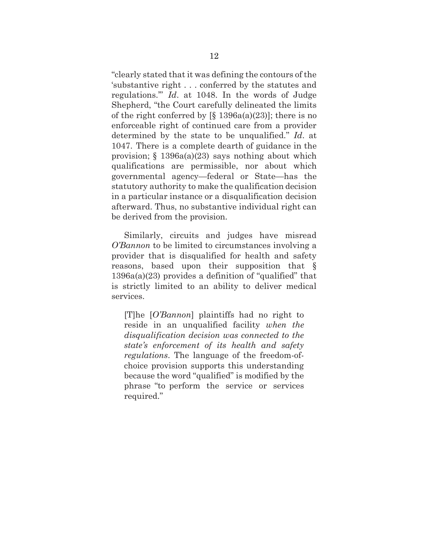"clearly stated that it was defining the contours of the 'substantive right . . . conferred by the statutes and regulations.'" *Id*. at 1048. In the words of Judge Shepherd, "the Court carefully delineated the limits of the right conferred by  $[\S 1396a(a)(23)]$ ; there is no enforceable right of continued care from a provider determined by the state to be unqualified." *Id*. at 1047. There is a complete dearth of guidance in the provision;  $\S$  1396a(a)(23) says nothing about which qualifications are permissible, nor about which governmental agency—federal or State—has the statutory authority to make the qualification decision in a particular instance or a disqualification decision afterward. Thus, no substantive individual right can be derived from the provision.

Similarly, circuits and judges have misread *O'Bannon* to be limited to circumstances involving a provider that is disqualified for health and safety reasons, based upon their supposition that § 1396a(a)(23) provides a definition of "qualified" that is strictly limited to an ability to deliver medical services.

[T]he [*O'Bannon*] plaintiffs had no right to reside in an unqualified facility *when the disqualification decision was connected to the state's enforcement of its health and safety regulations*. The language of the freedom-ofchoice provision supports this understanding because the word "qualified" is modified by the phrase "to perform the service or services required."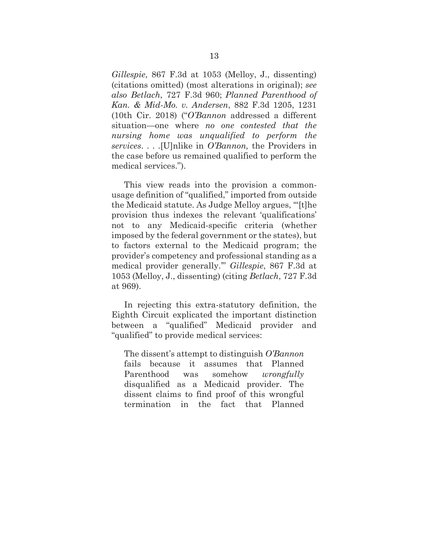*Gillespie*, 867 F.3d at 1053 (Melloy, J., dissenting) (citations omitted) (most alterations in original); *see also Betlach*, 727 F.3d 960; *Planned Parenthood of Kan. & Mid-Mo. v. Andersen*, 882 F.3d 1205, 1231 (10th Cir. 2018) ("*O'Bannon* addressed a different situation—one where *no one contested that the nursing home was unqualified to perform the services*. . . .[U]nlike in *O'Bannon,* the Providers in the case before us remained qualified to perform the medical services.").

This view reads into the provision a commonusage definition of "qualified," imported from outside the Medicaid statute. As Judge Melloy argues, "'[t]he provision thus indexes the relevant 'qualifications' not to any Medicaid-specific criteria (whether imposed by the federal government or the states), but to factors external to the Medicaid program; the provider's competency and professional standing as a medical provider generally.'" *Gillespie*, 867 F.3d at 1053 (Melloy, J., dissenting) (citing *Betlach*, 727 F.3d at 969).

In rejecting this extra-statutory definition, the Eighth Circuit explicated the important distinction between a "qualified" Medicaid provider and "qualified" to provide medical services:

The dissent's attempt to distinguish *O'Bannon*  fails because it assumes that Planned Parenthood was somehow *wrongfully*  disqualified as a Medicaid provider. The dissent claims to find proof of this wrongful termination in the fact that Planned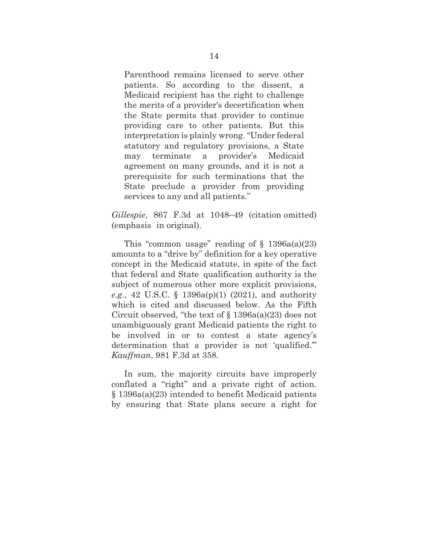Parenthood remains licensed to serve other patients. So according to the dissent, a Medicaid recipient has the right to challenge the merits of a provider's decertification when the State permits that provider to continue providing care to other patients. But this interpretation is plainly wrong. "Under federal statutory and regulatory provisions, a State may terminate a provider's Medicaid agreement on many grounds, and it is not a prerequisite for such terminations that the State preclude a provider from providing services to any and all patients."

*Gillespie*, 867 F.3d at 1048–49 (citation omitted) (emphasis in original).

This "common usage" reading of  $\S$  1396a(a)(23) amounts to a "drive by" definition for a key operative concept in the Medicaid statute, in spite of the fact that federal and State qualification authority is the subject of numerous other more explicit provisions, *e.g*., 42 U.S.C. § 1396a(p)(1) (2021), and authority which is cited and discussed below. As the Fifth Circuit observed, "the text of  $\S$  1396a(a)(23) does not unambiguously grant Medicaid patients the right to be involved in or to contest a state agency's determination that a provider is not 'qualified.'" *Kauffman*, 981 F.3d at 358.

In sum, the majority circuits have improperly conflated a "right" and a private right of action. § 1396a(a)(23) intended to benefit Medicaid patients by ensuring that State plans secure a right for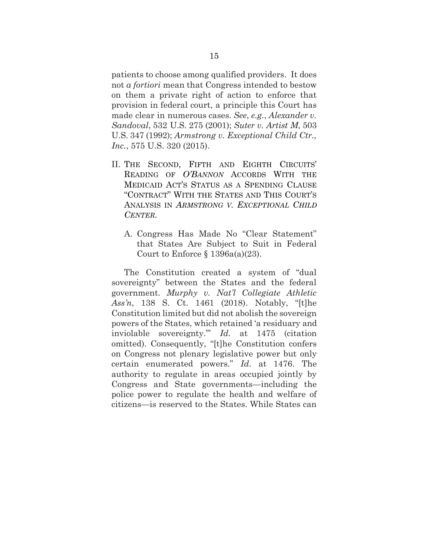patients to choose among qualified providers. It does not *a fortiori* mean that Congress intended to bestow on them a private right of action to enforce that provision in federal court, a principle this Court has made clear in numerous cases. *See*, *e.g.*, *Alexander v. Sandoval*, 532 U.S. 275 (2001); *Suter v. Artist M*, 503 U.S. 347 (1992); *Armstrong v. Exceptional Child Ctr., Inc.*, 575 U.S. 320 (2015).

- <span id="page-22-0"></span>II. THE SECOND, FIFTH AND EIGHTH CIRCUITS' READING OF *O'BANNON* ACCORDS WITH THE MEDICAID ACT'S STATUS AS A SPENDING CLAUSE "CONTRACT" WITH THE STATES AND THIS COURT'S ANALYSIS IN *ARMSTRONG V. EXCEPTIONAL CHILD CENTER*.
	- A. Congress Has Made No "Clear Statement" that States Are Subject to Suit in Federal Court to Enforce  $\S 1396a(a)(23)$ .

<span id="page-22-1"></span>The Constitution created a system of "dual sovereignty" between the States and the federal government. *Murphy v. Nat'l Collegiate Athletic Ass'n*, 138 S. Ct. 1461 (2018). Notably, "[t]he Constitution limited but did not abolish the sovereign powers of the States, which retained 'a residuary and inviolable sovereignty.'" *Id.* at 1475 (citation omitted). Consequently, "[t]he Constitution confers on Congress not plenary legislative power but only certain enumerated powers." *Id*. at 1476. The authority to regulate in areas occupied jointly by Congress and State governments—including the police power to regulate the health and welfare of citizens—is reserved to the States. While States can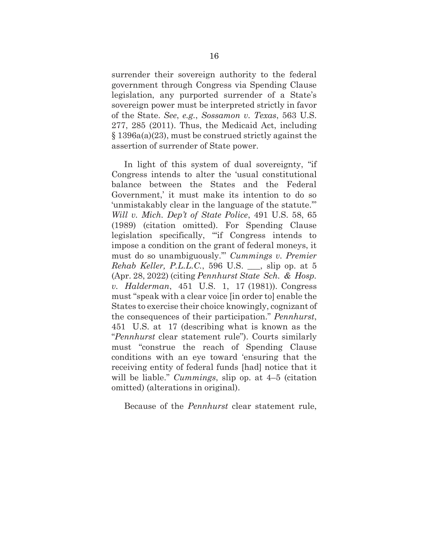surrender their sovereign authority to the federal government through Congress via Spending Clause legislation, any purported surrender of a State's sovereign power must be interpreted strictly in favor of the State. *See*, *e.g.*, *Sossamon v. Texas*, 563 U.S. 277, 285 (2011). Thus, the Medicaid Act, including § 1396a(a)(23), must be construed strictly against the assertion of surrender of State power.

In light of this system of dual sovereignty, "if Congress intends to alter the 'usual constitutional balance between the States and the Federal Government,' it must make its intention to do so 'unmistakably clear in the language of the statute.'" *Will v. Mich. Dep't of State Police*, 491 U.S. 58, 65 (1989) (citation omitted). For Spending Clause legislation specifically, "'if Congress intends to impose a condition on the grant of federal moneys, it must do so unambiguously.'" *Cummings v. Premier Rehab Keller, P.L.L.C.*, 596 U.S. \_\_\_, slip op. at 5 (Apr. 28, 2022) (citing *Pennhurst State Sch. & Hosp. v. Halderman*, 451 U.S. 1, 17 (1981)). Congress must "speak with a clear voice [in order to] enable the States to exercise their choice knowingly, cognizant of the consequences of their participation." *Pennhurst*, 451 U.S. at 17 (describing what is known as the "*Pennhurst* clear statement rule"). Courts similarly must "construe the reach of Spending Clause conditions with an eye toward 'ensuring that the receiving entity of federal funds [had] notice that it will be liable." *Cummings*, slip op. at 4–5 (citation omitted) (alterations in original).

Because of the *Pennhurst* clear statement rule,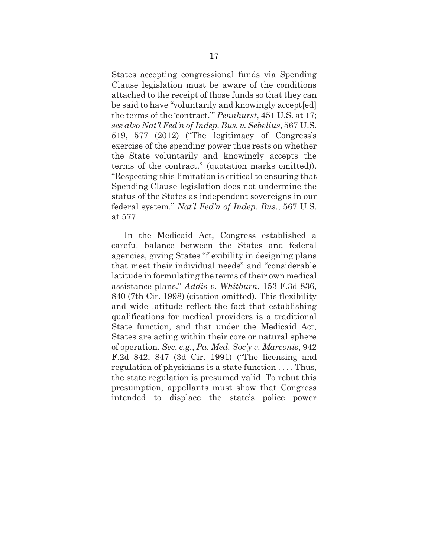States accepting congressional funds via Spending Clause legislation must be aware of the conditions attached to the receipt of those funds so that they can be said to have "voluntarily and knowingly accept[ed] the terms of the 'contract.'" *Pennhurst*, 451 U.S. at 17; *see also Nat'l Fed'n of Indep. Bus. v.Sebelius*, 567 U.S. 519, 577 (2012) ("The legitimacy of Congress's exercise of the spending power thus rests on whether the State voluntarily and knowingly accepts the terms of the contract." (quotation marks omitted)). "Respecting this limitation is critical to ensuring that Spending Clause legislation does not undermine the status of the States as independent sovereigns in our federal system." *Nat'l Fed'n of Indep. Bus.*, 567 U.S. at 577.

In the Medicaid Act, Congress established a careful balance between the States and federal agencies, giving States "flexibility in designing plans that meet their individual needs" and "considerable latitude in formulating the terms of their own medical assistance plans." *Addis v. Whitburn*, 153 F.3d 836, 840 (7th Cir. 1998) (citation omitted). This flexibility and wide latitude reflect the fact that establishing qualifications for medical providers is a traditional State function, and that under the Medicaid Act, States are acting within their core or natural sphere of operation. *See*, *e.g.*, *Pa. Med. Soc'y v. Marconis*, 942 F.2d 842, 847 (3d Cir. 1991) ("The licensing and regulation of physicians is a state function . . . . Thus, the state regulation is presumed valid. To rebut this presumption, appellants must show that Congress intended to displace the state's police power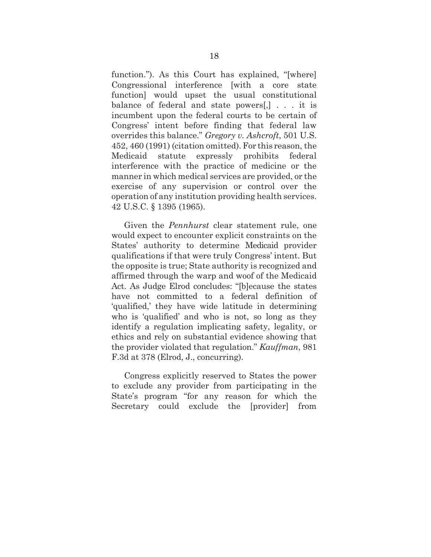function."). As this Court has explained, "[where] Congressional interference [with a core state function] would upset the usual constitutional balance of federal and state powers[,] . . . it is incumbent upon the federal courts to be certain of Congress' intent before finding that federal law overrides this balance." *Gregory v. Ashcroft*, 501 U.S. 452, 460 (1991) (citation omitted).For this reason, the Medicaid statute expressly prohibits federal interference with the practice of medicine or the manner in which medical services are provided, or the exercise of any supervision or control over the operation of any institution providing health services. 42 U.S.C. § 1395 (1965).

Given the *Pennhurst* clear statement rule, one would expect to encounter explicit constraints on the States' authority to determine Medicaid provider qualifications if that were truly Congress' intent. But the opposite is true; State authority is recognized and affirmed through the warp and woof of the Medicaid Act. As Judge Elrod concludes: "[b]ecause the states have not committed to a federal definition of 'qualified,' they have wide latitude in determining who is 'qualified' and who is not, so long as they identify a regulation implicating safety, legality, or ethics and rely on substantial evidence showing that the provider violated that regulation." *Kauffman*, 981 F.3d at 378 (Elrod, J., concurring).

Congress explicitly reserved to States the power to exclude any provider from participating in the State's program "for any reason for which the Secretary could exclude the [provider] from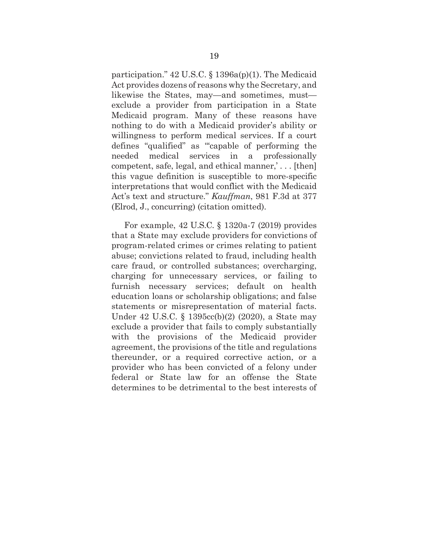participation." 42 U.S.C. § 1396a(p)(1). The Medicaid Act provides dozens of reasons why the Secretary, and likewise the States, may—and sometimes, must exclude a provider from participation in a State Medicaid program. Many of these reasons have nothing to do with a Medicaid provider's ability or willingness to perform medical services. If a court defines "qualified" as "'capable of performing the needed medical services in a professionally competent, safe, legal, and ethical manner,' . . . [then] this vague definition is susceptible to more-specific interpretations that would conflict with the Medicaid Act's text and structure." *Kauffman*, 981 F.3d at 377 (Elrod, J., concurring) (citation omitted).

For example, 42 U.S.C. § 1320a-7 (2019) provides that a State may exclude providers for convictions of program-related crimes or crimes relating to patient abuse; convictions related to fraud, including health care fraud, or controlled substances; overcharging, charging for unnecessary services, or failing to furnish necessary services; default on health education loans or scholarship obligations; and false statements or misrepresentation of material facts. Under 42 U.S.C. § 1395cc(b)(2) (2020), a State may exclude a provider that fails to comply substantially with the provisions of the Medicaid provider agreement, the provisions of the title and regulations thereunder, or a required corrective action, or a provider who has been convicted of a felony under federal or State law for an offense the State determines to be detrimental to the best interests of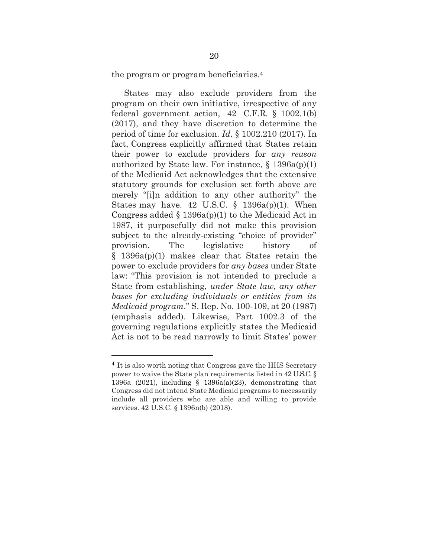the program or program beneficiaries.<sup>4</sup>

States may also exclude providers from the program on their own initiative, irrespective of any federal government action, 42 C.F.R. § 1002.1(b) (2017), and they have discretion to determine the period of time for exclusion. *Id*. § 1002.210 (2017). In fact, Congress explicitly affirmed that States retain their power to exclude providers for *any reason*  authorized by State law. For instance,  $\S 1396a(p)(1)$ of the Medicaid Act acknowledges that the extensive statutory grounds for exclusion set forth above are merely "[i]n addition to any other authority" the States may have. 42 U.S.C.  $\S$  1396a(p)(1). When Congress added  $\S 1396a(p)(1)$  to the Medicaid Act in 1987, it purposefully did not make this provision subject to the already-existing "choice of provider" provision. The legislative history of § 1396a(p)(1) makes clear that States retain the power to exclude providers for *any bases* under State law: "This provision is not intended to preclude a State from establishing, *under State law, any other bases for excluding individuals or entities from its Medicaid program*." S. Rep. No. 100-109, at 20 (1987) (emphasis added). Likewise, Part 1002.3 of the governing regulations explicitly states the Medicaid Act is not to be read narrowly to limit States' power

<sup>4</sup> It is also worth noting that Congress gave the HHS Secretary power to waive the State plan requirements listed in 42 U.S.C. § 1396a (2021), including § 1396a(a)(23), demonstrating that Congress did not intend State Medicaid programs to necessarily include all providers who are able and willing to provide services. 42 U.S.C. § 1396n(b) (2018).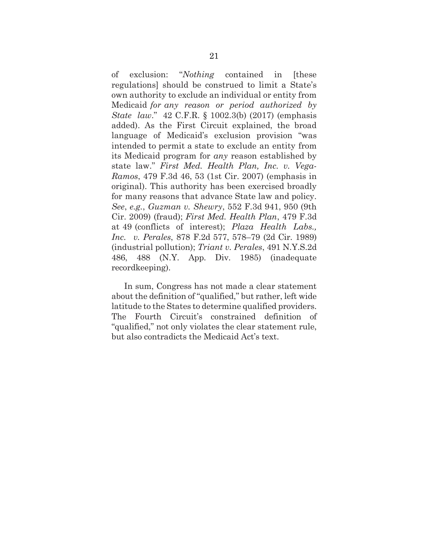of exclusion: "*Nothing* contained in [these regulations] should be construed to limit a State's own authority to exclude an individual or entity from Medicaid *for any reason or period authorized by State law*." 42 C.F.R. § 1002.3(b) (2017) (emphasis added). As the First Circuit explained, the broad language of Medicaid's exclusion provision "was intended to permit a state to exclude an entity from its Medicaid program for *any* reason established by state law." *First Med. Health Plan, Inc. v. Vega-Ramos*, 479 F.3d 46, 53 (1st Cir. 2007) (emphasis in original). This authority has been exercised broadly for many reasons that advance State law and policy. *See*, *e.g.*, *Guzman v. Shewry*, 552 F.3d 941, 950 (9th Cir. 2009) (fraud); *First Med. Health Plan*, 479 F.3d at 49 (conflicts of interest); *Plaza Health Labs., Inc. v. Perales*, 878 F.2d 577, 578–79 (2d Cir. 1989) (industrial pollution); *Triant v. Perales*, 491 N.Y.S.2d 486, 488 (N.Y. App. Div. 1985) (inadequate recordkeeping).

In sum, Congress has not made a clear statement about the definition of "qualified," but rather, left wide latitude to the States to determine qualified providers. The Fourth Circuit's constrained definition of "qualified," not only violates the clear statement rule, but also contradicts the Medicaid Act's text.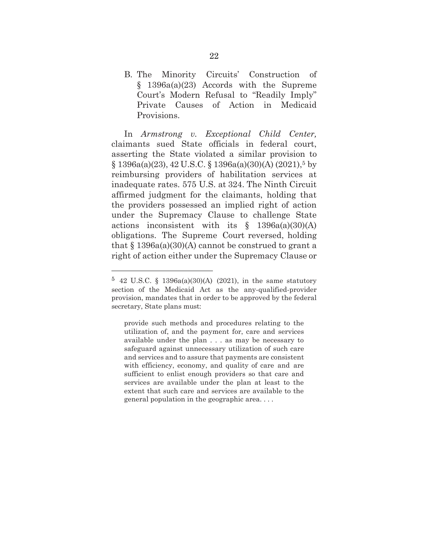<span id="page-29-0"></span>B. The Minority Circuits' Construction of § 1396a(a)(23) Accords with the Supreme Court's Modern Refusal to "Readily Imply" Private Causes of Action in Medicaid Provisions.

In *Armstrong v. Exceptional Child Center,* claimants sued State officials in federal court, asserting the State violated a similar provision to § 1396a(a)(23), 42 U.S.C. § 1396a(a)(30)(A) (2021), <sup>5</sup> by reimbursing providers of habilitation services at inadequate rates. 575 U.S. at 324. The Ninth Circuit affirmed judgment for the claimants, holding that the providers possessed an implied right of action under the Supremacy Clause to challenge State actions inconsistent with its § 1396a(a)(30)(A) obligations. The Supreme Court reversed, holding that  $\S$  1396a(a)(30)(A) cannot be construed to grant a right of action either under the Supremacy Clause or

<sup>5</sup> 42 U.S.C. § 1396a(a)(30)(A) (2021), in the same statutory section of the Medicaid Act as the any-qualified-provider provision, mandates that in order to be approved by the federal secretary, State plans must:

provide such methods and procedures relating to the utilization of, and the payment for, care and services available under the plan . . . as may be necessary to safeguard against unnecessary utilization of such care and services and to assure that payments are consistent with efficiency, economy, and quality of care and are sufficient to enlist enough providers so that care and services are available under the plan at least to the extent that such care and services are available to the general population in the geographic area. . . .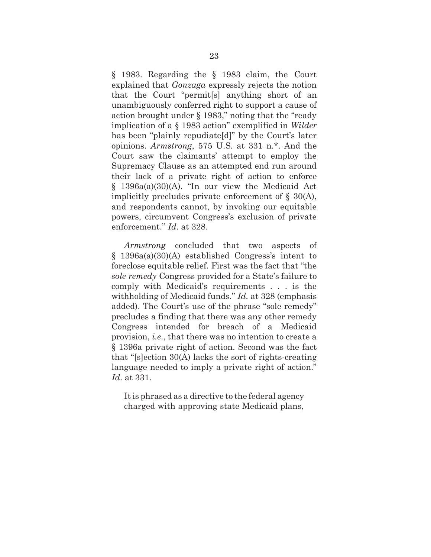§ 1983. Regarding the § 1983 claim, the Court explained that *Gonzaga* expressly rejects the notion that the Court "permit[s] anything short of an unambiguously conferred right to support a cause of action brought under § 1983," noting that the "ready implication of a § 1983 action" exemplified in *Wilder*  has been "plainly repudiate[d]" by the Court's later opinions. *Armstrong*, 575 U.S. at 331 n.\*. And the Court saw the claimants' attempt to employ the Supremacy Clause as an attempted end run around their lack of a private right of action to enforce § 1396a(a)(30)(A). "In our view the Medicaid Act implicitly precludes private enforcement of § 30(A), and respondents cannot, by invoking our equitable powers, circumvent Congress's exclusion of private enforcement." *Id*. at 328.

*Armstrong* concluded that two aspects of § 1396a(a)(30)(A) established Congress's intent to foreclose equitable relief. First was the fact that "the *sole remedy* Congress provided for a State's failure to comply with Medicaid's requirements . . . is the withholding of Medicaid funds." *Id.* at 328 (emphasis added). The Court's use of the phrase "sole remedy" precludes a finding that there was any other remedy Congress intended for breach of a Medicaid provision, *i.e*., that there was no intention to create a § 1396a private right of action. Second was the fact that "[s]ection 30(A) lacks the sort of rights-creating language needed to imply a private right of action." *Id*. at 331.

Itis phrased as a directive to the federal agency charged with approving state Medicaid plans,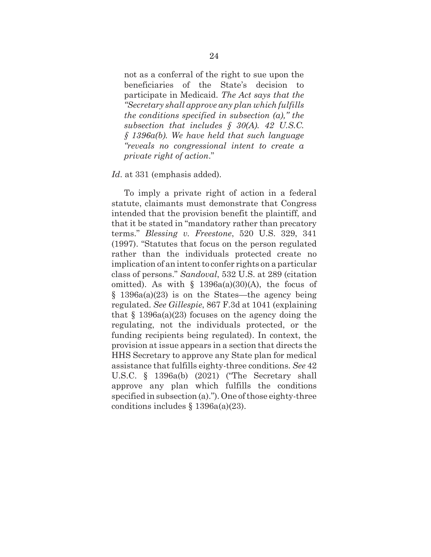not as a conferral of the right to sue upon the beneficiaries of the State's decision to participate in Medicaid. *The Act says that the "Secretary shall approve any plan which fulfills the conditions specified in subsection (a)," the subsection that includes § 30(A). 42 U.S.C. § 1396a(b). We have held that such language "reveals no congressional intent to create a private right of action*."

#### *Id*. at 331 (emphasis added).

To imply a private right of action in a federal statute, claimants must demonstrate that Congress intended that the provision benefit the plaintiff, and that it be stated in "mandatory rather than precatory terms." *Blessing v. Freestone*, 520 U.S. 329, 341 (1997). "Statutes that focus on the person regulated rather than the individuals protected create no implication of an intent to confer rights on a particular class of persons." *Sandoval*, 532 U.S. at 289 (citation omitted). As with  $\S$  1396a(a)(30)(A), the focus of § 1396a(a)(23) is on the States—the agency being regulated. *See Gillespie*, 867 F.3d at 1041 (explaining that  $\S$  1396a(a)(23) focuses on the agency doing the regulating, not the individuals protected, or the funding recipients being regulated). In context, the provision at issue appears in a section that directs the HHS Secretary to approve any State plan for medical assistance that fulfills eighty-three conditions. *See* 42 U.S.C. § 1396a(b) (2021) ("The Secretary shall approve any plan which fulfills the conditions specified in subsection (a)."). One of those eighty-three conditions includes  $\S$  1396a(a)(23).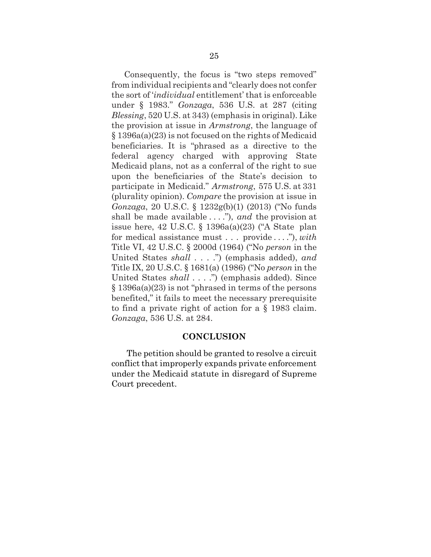Consequently, the focus is "two steps removed" from individual recipients and "clearly does not confer the sort of '*individual* entitlement' that is enforceable under § 1983." *Gonzaga*, 536 U.S. at 287 (citing *Blessing*, 520 U.S. at 343) (emphasis in original). Like the provision at issue in *Armstrong*, the language of § 1396a(a)(23) is not focused on the rights of Medicaid beneficiaries. It is "phrased as a directive to the federal agency charged with approving State Medicaid plans, not as a conferral of the right to sue upon the beneficiaries of the State's decision to participate in Medicaid." *Armstrong*, 575 U.S. at 331 (plurality opinion). *Compare* the provision at issue in *Gonzaga*, 20 U.S.C. § 1232g(b)(1) (2013) ("No funds shall be made available . . . ."), *and* the provision at issue here, 42 U.S.C. § 1396a(a)(23) ("A State plan for medical assistance must . . . provide . . . ."), *with*  Title VI, 42 U.S.C. § 2000d (1964) ("No *person* in the United States *shall* . . . .") (emphasis added), *and*  Title IX, 20 U.S.C. § 1681(a) (1986) ("No *person* in the United States *shall* . . . .") (emphasis added). Since § 1396a(a)(23) is not "phrased in terms of the persons benefited," it fails to meet the necessary prerequisite to find a private right of action for a § 1983 claim. *Gonzaga*, 536 U.S. at 284.

#### **CONCLUSION**

<span id="page-32-0"></span>The petition should be granted to resolve a circuit conflict that improperly expands private enforcement under the Medicaid statute in disregard of Supreme Court precedent.